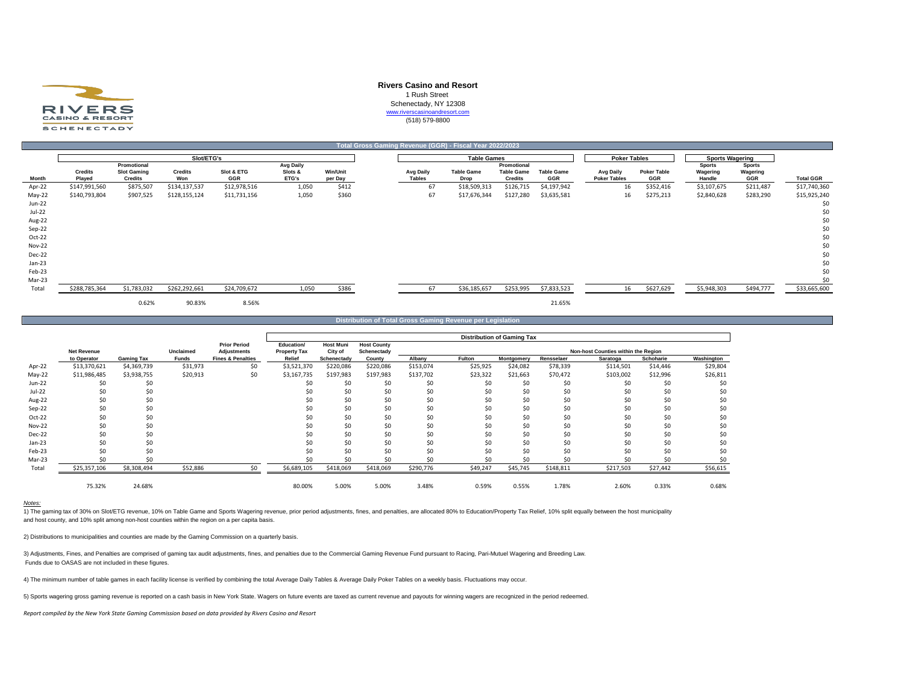

## **Rivers Casino and Resort**

1 Rush Street

Schenectady, NY 12308

www.riverscasinoandresort.com

(518) 579-8800

|               |                          |                                                     |                       |                   |                               |                            |                                   | Total Gross Gaming Revenue (GGR) - Fiscal Year 2022/2023 |                                                    |                          |                                         |                           |                                     |                                  |                  |
|---------------|--------------------------|-----------------------------------------------------|-----------------------|-------------------|-------------------------------|----------------------------|-----------------------------------|----------------------------------------------------------|----------------------------------------------------|--------------------------|-----------------------------------------|---------------------------|-------------------------------------|----------------------------------|------------------|
|               |                          |                                                     | Slot/ETG's            |                   |                               |                            |                                   | <b>Table Games</b>                                       |                                                    |                          | <b>Poker Tables</b>                     |                           | <b>Sports Wagering</b>              |                                  |                  |
| Month         | <b>Credits</b><br>Played | Promotional<br><b>Slot Gaming</b><br><b>Credits</b> | <b>Credits</b><br>Won | Slot & ETG<br>GGR | Avg Daily<br>Slots &<br>ETG's | <b>Win/Unit</b><br>per Day | <b>Avg Daily</b><br><b>Tables</b> | <b>Table Game</b><br>Drop                                | Promotional<br><b>Table Game</b><br><b>Credits</b> | <b>Table Game</b><br>GGR | <b>Avg Daily</b><br><b>Poker Tables</b> | <b>Poker Table</b><br>GGR | <b>Sports</b><br>Wagering<br>Handle | <b>Sports</b><br>Wagering<br>GGR | <b>Total GGR</b> |
| Apr-22        | \$147,991,560            | \$875,507                                           | \$134,137,537         | \$12,978,516      | 1,050                         | \$412                      | 67                                | \$18,509,313                                             | \$126,715                                          | \$4,197,942              | 16                                      | \$352,416                 | \$3,107,675                         | \$211,487                        | \$17,740,360     |
| May-22        | \$140,793,804            | \$907,525                                           | \$128,155,124         | \$11,731,156      | 1,050                         | \$360                      | 67                                | \$17,676,344                                             | \$127,280                                          | \$3,635,581              | 16                                      | \$275,213                 | \$2,840,628                         | \$283,290                        | \$15,925,240     |
| Jun-22        |                          |                                                     |                       |                   |                               |                            |                                   |                                                          |                                                    |                          |                                         |                           |                                     |                                  | \$0              |
| Jul-22        |                          |                                                     |                       |                   |                               |                            |                                   |                                                          |                                                    |                          |                                         |                           |                                     |                                  | \$0              |
| Aug-22        |                          |                                                     |                       |                   |                               |                            |                                   |                                                          |                                                    |                          |                                         |                           |                                     |                                  | \$0              |
| Sep-22        |                          |                                                     |                       |                   |                               |                            |                                   |                                                          |                                                    |                          |                                         |                           |                                     |                                  | \$0              |
| Oct-22        |                          |                                                     |                       |                   |                               |                            |                                   |                                                          |                                                    |                          |                                         |                           |                                     |                                  | \$0              |
| <b>Nov-22</b> |                          |                                                     |                       |                   |                               |                            |                                   |                                                          |                                                    |                          |                                         |                           |                                     |                                  | \$0              |
| Dec-22        |                          |                                                     |                       |                   |                               |                            |                                   |                                                          |                                                    |                          |                                         |                           |                                     |                                  | \$0              |
| Jan-23        |                          |                                                     |                       |                   |                               |                            |                                   |                                                          |                                                    |                          |                                         |                           |                                     |                                  | \$0              |
| Feb-23        |                          |                                                     |                       |                   |                               |                            |                                   |                                                          |                                                    |                          |                                         |                           |                                     |                                  | \$0              |
| Mar-23        |                          |                                                     |                       |                   |                               |                            |                                   |                                                          |                                                    |                          |                                         |                           |                                     |                                  | \$0              |
| Total         | \$288,785,364            | \$1,783,032                                         | \$262,292,661         | \$24,709,672      | 1,050                         | \$386                      | 67                                | \$36,185,657                                             | \$253,995                                          | \$7,833,523              | 16                                      | \$627,629                 | \$5,948,303                         | \$494,777                        | \$33,665,600     |
|               |                          | 0.62%                                               | 90.83%                | 8.56%             |                               |                            |                                   |                                                          |                                                    | 21.65%                   |                                         |                           |                                     |                                  |                  |

**Distribution of Total Gross Gaming Revenue per Legislation**

|               |                    |                   |              |                                           |                                   |                             |                                   |           |          | <b>Distribution of Gaming Tax</b> |            |                                     |                  |            |
|---------------|--------------------|-------------------|--------------|-------------------------------------------|-----------------------------------|-----------------------------|-----------------------------------|-----------|----------|-----------------------------------|------------|-------------------------------------|------------------|------------|
|               | <b>Net Revenue</b> |                   | Unclaimed    | <b>Prior Period</b><br><b>Adjustments</b> | Education/<br><b>Property Tax</b> | <b>Host Muni</b><br>City of | <b>Host County</b><br>Schenectady |           |          |                                   |            | Non-host Counties within the Region |                  |            |
|               | to Operator        | <b>Gaming Tax</b> | <b>Funds</b> | <b>Fines &amp; Penalties</b>              | Relief                            | Schenectady                 | County                            | Albany    | Fulton   | Montgomery                        | Rensselaer | Saratoga                            | <b>Schoharie</b> | Washington |
| Apr-22        | \$13,370,621       | \$4,369,739       | \$31,973     | \$0                                       | \$3,521,370                       | \$220,086                   | \$220,086                         | \$153,074 | \$25,925 | \$24,082                          | \$78,339   | \$114,501                           | \$14,446         | \$29,804   |
| $May-22$      | \$11,986,485       | \$3,938,755       | \$20,913     | \$0                                       | \$3,167,735                       | \$197,983                   | \$197,983                         | \$137,702 | \$23,322 | \$21,663                          | \$70,472   | \$103,002                           | \$12,996         | \$26,811   |
| Jun-22        | \$0                | \$0               |              |                                           |                                   | \$0                         | \$0                               | \$0       | \$0      | \$0                               | \$0        | \$0                                 | \$0              | \$0        |
| Jul-22        | \$0                | \$0               |              |                                           |                                   | \$0                         | \$0                               | \$0       | ŚC       | \$0                               | \$0        |                                     | \$0              | \$0        |
| Aug-22        | \$0                | \$0               |              |                                           |                                   | \$0                         | \$0                               | \$0       | ŚС       | \$0                               | \$0        |                                     | \$0              | \$0        |
| Sep-22        | \$0                | \$0               |              |                                           |                                   | \$0                         | \$0                               | \$0       | \$0      | \$0                               | \$0        | ŚC                                  | \$0              | \$0        |
| Oct-22        | \$0                | \$0               |              |                                           |                                   | \$0                         | \$0                               | \$0       | \$0      | \$0                               | \$0        | \$0                                 | \$0              | \$0        |
| <b>Nov-22</b> | \$0                | \$0               |              |                                           |                                   | \$0                         | \$0                               | \$0       | \$0      | \$0                               | \$0        | \$0                                 | \$0              | \$0        |
| Dec-22        | \$0                | \$0               |              |                                           |                                   | \$0                         | \$0                               | \$0       | \$0      | \$0                               | \$0        | \$0                                 | \$0              | \$0        |
| $Jan-23$      | \$0                | \$0               |              |                                           |                                   | \$0                         | \$0                               | \$0       | \$0      | \$0                               | \$0        |                                     | \$0              | \$0        |
| Feb-23        | \$0                | \$0               |              |                                           |                                   | \$0                         | \$0                               | \$0       | \$0      | \$0                               | \$0        | \$ſ                                 | \$0              | \$0        |
| Mar-23        |                    | \$0.              |              |                                           |                                   |                             |                                   | ۹n        |          | ۹٢                                | ςυ         | \$ſ                                 | ۹n               |            |
| Total         | \$25,357,106       | \$8,308,494       | \$52,886     | \$0                                       | \$6,689,105                       | \$418,069                   | \$418,069                         | \$290,776 | \$49,247 | \$45,745                          | \$148,811  | \$217,503                           | \$27,442         | \$56,615   |
|               | 75.32%             | 24.68%            |              |                                           | 80.00%                            | 5.00%                       | 5.00%                             | 3.48%     | 0.59%    | 0.55%                             | 1.78%      | 2.60%                               | 0.33%            | 0.68%      |

#### *Notes:*

11 The gaming tax of 30% on Slot/ETG revenue, 10% on Table Game and Sports Wagering revenue, prior period adjustments, fines, and penalties, are allocated 80% to Education/Property Tax Relief, 10% split equally between the and host county, and 10% split among non-host counties within the region on a per capita basis.

2) Distributions to municipalities and counties are made by the Gaming Commission on a quarterly basis.

3) Adjustments, Fines, and Penalties are comprised of gaming tax audit adjustments, fines, and penalties due to the Commercial Gaming Revenue Fund pursuant to Racing, Pari-Mutuel Wagering and Breeding Law. Funds due to OASAS are not included in these figures.

4) The minimum number of table games in each facility license is verified by combining the total Average Daily Tables & Average Daily Poker Tables on a weekly basis. Fluctuations may occur.

5) Sports wagering gross gaming revenue is reported on a cash basis in New York State. Wagers on future events are taxed as current revenue and payouts for winning wagers are recognized in the period redeemed.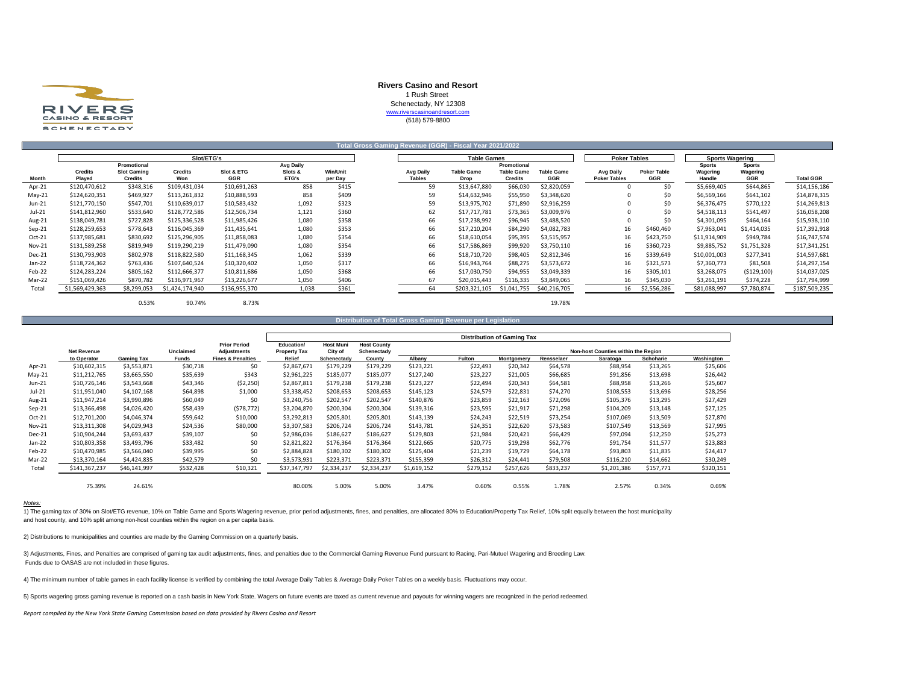

## **Rivers Casino and Resort**

1 Rush Street Schenectady, NY 12308

www.riverscasinoandresort.com

(518) 579-8800

|          | Total Gross Gaming Revenue (GGR) - Fiscal Year 2021/2022 |                               |                 |                   |                  |                            |                     |                           |                                     |                                 |                                  |                           |                        |                 |                  |
|----------|----------------------------------------------------------|-------------------------------|-----------------|-------------------|------------------|----------------------------|---------------------|---------------------------|-------------------------------------|---------------------------------|----------------------------------|---------------------------|------------------------|-----------------|------------------|
|          |                                                          |                               | Slot/ETG's      |                   |                  |                            |                     | <b>Table Games</b>        |                                     |                                 | <b>Poker Tables</b>              |                           | <b>Sports Wagering</b> |                 |                  |
|          |                                                          | Promotional                   |                 |                   | Avg Daily        |                            |                     |                           | Promotional                         |                                 |                                  |                           | <b>Sports</b>          | <b>Sports</b>   |                  |
| Month    | <b>Credits</b><br>Played                                 | <b>Slot Gaming</b><br>Credits | Credits<br>Won  | Slot & ETG<br>GGR | Slots &<br>ETG's | <b>Win/Unit</b><br>per Day | Avg Daily<br>Tables | <b>Table Game</b><br>Drop | <b>Table Game</b><br><b>Credits</b> | <b>Table Game</b><br><b>GGR</b> | Avg Daily<br><b>Poker Tables</b> | <b>Poker Table</b><br>GGR | Wagering<br>Handle     | Wagering<br>GGR | <b>Total GGR</b> |
| Apr-21   | \$120,470,612                                            | \$348,316                     | \$109,431,034   | \$10,691,263      | 858              | \$415                      | 59                  | \$13,647,880              | \$66,030                            | \$2,820,059                     |                                  | \$0                       | \$5,669,405            | \$644,865       | \$14,156,186     |
| $May-21$ | \$124,620,351                                            | \$469,927                     | \$113,261,832   | \$10,888,593      | 858              | \$409                      | 59                  | \$14,632,946              | \$55,950                            | \$3,348,620                     |                                  | \$0                       | \$6,569,166            | \$641,102       | \$14,878,315     |
| Jun-21   | \$121,770,150                                            | \$547,701                     | \$110,639,017   | \$10,583,432      | 1,092            | \$323                      | 59                  | \$13,975,702              | \$71,890                            | \$2,916,259                     |                                  | \$0                       | \$6,376,475            | \$770,122       | \$14,269,813     |
| $Jul-21$ | \$141,812,960                                            | \$533,640                     | \$128,772,586   | \$12,506,734      | 1,121            | \$360                      | 62                  | \$17,717,781              | \$73,365                            | \$3,009,976                     |                                  | \$0                       | \$4,518,113            | \$541,497       | \$16,058,208     |
| Aug-21   | \$138,049,781                                            | \$727,828                     | \$125,336,528   | \$11,985,426      | 1,080            | \$358                      | 66                  | \$17,238,992              | \$96,945                            | \$3,488,520                     |                                  | \$0                       | \$4,301,095            | \$464,164       | \$15,938,110     |
| $Sep-21$ | \$128,259,653                                            | \$778,643                     | \$116,045,369   | \$11,435,641      | 1,080            | \$353                      | 66                  | \$17,210,204              | \$84,290                            | \$4,082,783                     | 16                               | \$460,460                 | \$7,963,041            | \$1,414,035     | \$17,392,918     |
| $Oct-21$ | \$137,985,681                                            | \$830,692                     | \$125,296,905   | \$11,858,083      | 1,080            | \$354                      | 66                  | \$18,610,054              | \$95,395                            | \$3,515,957                     | 16                               | \$423,750                 | \$11,914,909           | \$949,784       | \$16,747,574     |
| Nov-21   | \$131,589,258                                            | \$819,949                     | \$119,290,219   | \$11,479,090      | 1,080            | \$354                      | 66                  | \$17,586,869              | \$99,920                            | \$3,750,110                     | 16                               | \$360,723                 | \$9,885,752            | \$1,751,328     | \$17,341,251     |
| Dec-21   | \$130,793,903                                            | \$802,978                     | \$118,822,580   | \$11,168,345      | 1,062            | \$339                      | 66                  | \$18,710,720              | \$98,405                            | \$2,812,346                     | 16                               | \$339,649                 | \$10,001,003           | \$277,341       | \$14,597,681     |
| Jan-22   | \$118,724,362                                            | \$763,436                     | \$107,640,524   | \$10,320,402      | 1,050            | \$317                      | 66                  | \$16,943,764              | \$88,275                            | \$3,573,672                     | 16                               | \$321,573                 | \$7,360,773            | \$81,508        | \$14,297,154     |
| Feb-22   | \$124,283,224                                            | \$805,162                     | \$112,666,377   | \$10,811,686      | 1,050            | \$368                      | 66                  | \$17,030,750              | \$94,955                            | \$3,049,339                     | 16                               | \$305,101                 | \$3,268,075            | (5129, 100)     | \$14,037,025     |
| Mar-22   | \$151,069,426                                            | \$870,782                     | \$136,971,967   | \$13,226,677      | 1.050            | \$406                      | 67                  | \$20,015,443              | \$116,335                           | \$3,849,065                     | 16                               | \$345,030                 | \$3,261,191            | \$374,228       | \$17,794,999     |
| Total    | \$1,569,429,363                                          | \$8,299,053                   | \$1,424,174,940 | \$136,955,370     | 1,038            | \$361                      | 64                  | \$203,321,105             | \$1,041,755                         | \$40,216,705                    | 16                               | \$2,556,286               | \$81,088,997           | \$7,780,874     | \$187,509,235    |
|          |                                                          |                               |                 |                   |                  |                            |                     |                           |                                     |                                 |                                  |                           |                        |                 |                  |

0.53% 90.74% 8.73% 19.78%

# **Distribution of Total Gross Gaming Revenue per Legislation**

|          |                    |              |              |                                           |                                   |                             |                                   |             |               | <b>Distribution of Gaming Tax</b> |            |                                     |           |            |
|----------|--------------------|--------------|--------------|-------------------------------------------|-----------------------------------|-----------------------------|-----------------------------------|-------------|---------------|-----------------------------------|------------|-------------------------------------|-----------|------------|
|          | <b>Net Revenue</b> |              | Unclaimed    | <b>Prior Period</b><br><b>Adjustments</b> | Education/<br><b>Property Tax</b> | <b>Host Muni</b><br>City of | <b>Host County</b><br>Schenectady |             |               |                                   |            | Non-host Counties within the Region |           |            |
|          | to Operator        | Gaming Tax   | <b>Funds</b> | <b>Fines &amp; Penalties</b>              | Relief                            | Schenectady                 | County                            | Albany      | <b>Fulton</b> | Montgomery                        | Rensselaer | Saratoga                            | Schoharie | Washington |
| Apr-21   | \$10,602,315       | \$3,553,871  | \$30,718     | \$0                                       | \$2,867,671                       | \$179,229                   | \$179,229                         | \$123,221   | \$22,493      | \$20,342                          | \$64,578   | \$88,954                            | \$13,265  | \$25,606   |
| $May-21$ | \$11,212,765       | \$3,665,550  | \$35,639     | \$343                                     | \$2,961,225                       | \$185,077                   | \$185,077                         | \$127.240   | \$23,227      | \$21,005                          | \$66,685   | \$91,856                            | \$13,698  | \$26,442   |
| Jun-21   | \$10,726,146       | \$3,543,668  | \$43,346     | (52, 250)                                 | \$2,867,811                       | \$179,238                   | \$179,238                         | \$123,227   | \$22,494      | \$20,343                          | \$64,581   | \$88,958                            | \$13,266  | \$25,607   |
| Jul-21   | \$11,951,040       | \$4,107,168  | \$64,898     | \$1,000                                   | \$3,338,452                       | \$208,653                   | \$208,653                         | \$145,123   | \$24,579      | \$22,831                          | \$74,270   | \$108,553                           | \$13,696  | \$28,256   |
| Aug-21   | \$11,947,214       | \$3,990,896  | \$60,049     | \$0                                       | \$3,240,756                       | \$202,547                   | \$202,547                         | \$140,876   | \$23,859      | \$22,163                          | \$72,096   | \$105,376                           | \$13,295  | \$27,429   |
| Sep-21   | \$13,366,498       | \$4,026,420  | \$58,439     | (578, 772)                                | \$3,204,870                       | \$200,304                   | \$200,304                         | \$139,316   | \$23,595      | \$21,917                          | \$71,298   | \$104,209                           | \$13,148  | \$27,125   |
| Oct-21   | \$12,701,200       | \$4,046,374  | \$59,642     | \$10,000                                  | \$3,292,813                       | \$205,801                   | \$205,801                         | \$143,139   | \$24,243      | \$22,519                          | \$73,254   | \$107,069                           | \$13,509  | \$27,870   |
| Nov-21   | \$13,311,308       | \$4,029,943  | \$24,536     | \$80,000                                  | \$3,307,583                       | \$206,724                   | \$206,724                         | \$143,781   | \$24,351      | \$22,620                          | \$73,583   | \$107,549                           | \$13,569  | \$27,995   |
| Dec-21   | \$10,904,244       | \$3,693,437  | \$39,107     | \$0                                       | \$2,986,036                       | \$186,627                   | \$186,627                         | \$129,803   | \$21,984      | \$20,421                          | \$66,429   | \$97,094                            | \$12,250  | \$25,273   |
| Jan-22   | \$10,803,358       | \$3,493,796  | \$33,482     | \$0                                       | \$2,821,822                       | \$176,364                   | \$176,364                         | \$122,665   | \$20,775      | \$19,298                          | \$62,776   | \$91,754                            | \$11,577  | \$23,883   |
| Feb-22   | \$10,470,985       | \$3,566,040  | \$39,995     | \$0                                       | \$2,884,828                       | \$180,302                   | \$180,302                         | \$125,404   | \$21,239      | \$19,729                          | \$64,178   | \$93,803                            | \$11,835  | \$24,417   |
| Mar-22   | \$13,370,164       | \$4,424,835  | \$42,579     | \$0                                       | \$3,573,931                       | \$223,371                   | \$223,371                         | \$155,359   | \$26,312      | \$24,441                          | \$79,508   | \$116,210                           | \$14,662  | \$30,249   |
| Total    | \$141,367,237      | \$46,141,997 | \$532,428    | \$10,321                                  | \$37,347,797                      | \$2,334,237                 | \$2,334,237                       | \$1,619,152 | \$279,152     | \$257,626                         | \$833,237  | \$1,201,386                         | \$157,771 | \$320,151  |
|          | 75.39%             | 24.61%       |              |                                           | 80.00%                            | 5.00%                       | 5.00%                             | 3.47%       | 0.60%         | 0.55%                             | 1.78%      | 2.57%                               | 0.34%     | 0.69%      |

#### *Notes:*

11 The gaming tax of 30% on Slot/ETG revenue, 10% on Table Game and Sports Wagering revenue, prior period adjustments, fines, and penalties, are allocated 80% to Education/Property Tax Relief, 10% split equally between the and host county, and 10% split among non-host counties within the region on a per capita basis.

2) Distributions to municipalities and counties are made by the Gaming Commission on a quarterly basis.

3) Adjustments, Fines, and Penalties are comprised of gaming tax audit adjustments, fines, and penalties due to the Commercial Gaming Revenue Fund pursuant to Racing, Pari-Mutuel Wagering and Breeding Law. Funds due to OASAS are not included in these figures.

4) The minimum number of table games in each facility license is verified by combining the total Average Daily Tables & Average Daily Poker Tables on a weekly basis. Fluctuations may occur.

5) Sports wagering gross gaming revenue is reported on a cash basis in New York State. Wagers on future events are taxed as current revenue and payouts for winning wagers are recognized in the period redeemed.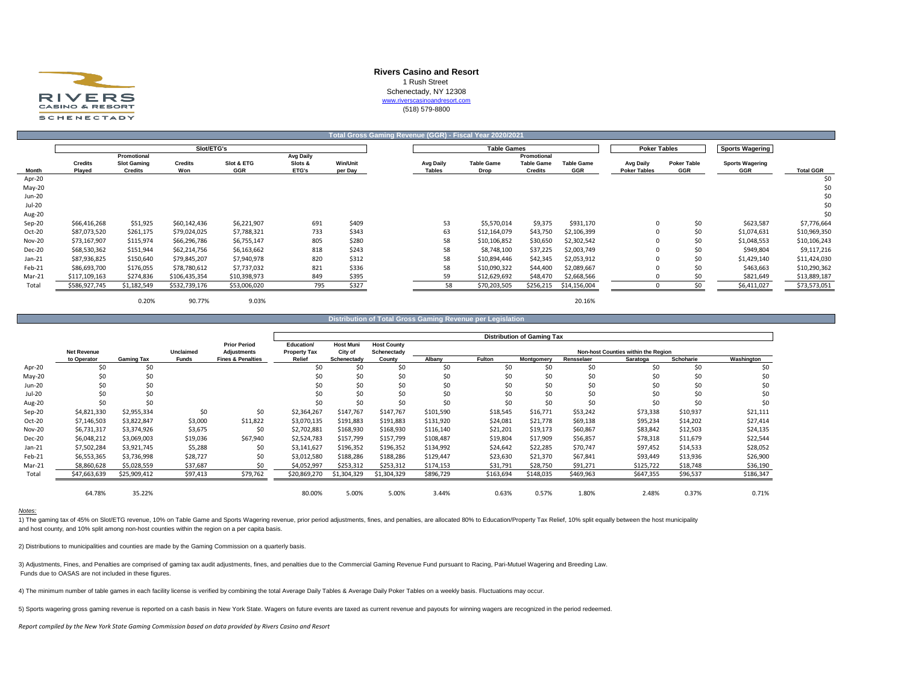

## **Rivers Casino and Resort** 1 Rush Street Schenectady, NY 12308 [w](http://www.riverscasinoandresort.com/)ww.riverscasinoandresort.com (518) 579-8800

**Sports Wagering Promotional Avg Daily Promotional** Credits Slot Gaming Credits Slot & ETG Slots & Win/Unit May Avg Daily Table Game Table Game Table Game Avg Daily Poker Table Sports Wagering **Month Played Credits Won GGR ETG's per Day Tables Drop Credits GGR Poker Tables GGR GGR Total GGR** Apr-20 \$0 May-20 \$0 Jun-20 \$0 Jul-20 \$0 Aug-20 \$0 Sep-20 \$66,416,268 \$51,925 \$60,142,436 \$6,221,907 691 \$409 53 \$5,570,014 \$9,375 \$931,170 0 \$0 \$623,587 \$7,776,664 Oct-20 \$87,073,520 \$261,175 \$79,024,025 \$7,788,321 733 \$343 63 \$12,164,079 \$43,750 \$2,106,399 0 \$0 \$1,074,631 \$10,969,350 Nov-20 \$73,167,907 \$115,974 \$66,296,786 \$6,755,147 805 \$280 58 \$10,106,852 \$30,650 \$2,302,542 0 \$0 \$1,048,553 \$10,106,243 Dec-20 \$68,530,362 \$151,944 \$62,214,756 \$6,163,662 818 \$243 58 \$8,748,100 \$37,225 \$2,003,749 0 \$0 \$949,804 \$9,117,216 Jan-21 \$87,936,825 \$150,640 \$79,845,207 \$7,940,978 820 \$312 58 \$10,894,446 \$42,345 \$2,053,912 0 \$0 \$1,429,140 \$11,424,030 Feb-21 \$86,693,700 \$176,055 \$78,780,612 \$7,737,032 821 \$336 58 \$10,090,322 \$44,400 \$2,089,667 0 \$0 \$463,663 \$10,290,362 Mar-21 \$117,109,163 \$274,836 \$106,435,354 \$10,398,973 849 \$395 59 \$12,629,692 \$48,470 \$2,668,566 0 \$0 \$0 \$821,649 \$13,889,187 Total \$586,927,745 \$1,182,549 \$532,739,176 \$53,006,020 795 \$327 58 \$70,203,505 \$256,215 \$14,156,004 0 \$0 \$6,411,027 \$73,573,051 0.20% 90.77% 9.03% 20.16% **Total Gross Gaming Revenue (GGR) - Fiscal Year 2020/2021 Slot/ETG's Table Games Poker Tables**

**Distribution of Total Gross Gaming Revenue per Leg** 

|               |                    |                   |                  |                              | <b>Distribution of Gaming Tax</b> |                  |                    |           |           |            |            |                                     |           |            |
|---------------|--------------------|-------------------|------------------|------------------------------|-----------------------------------|------------------|--------------------|-----------|-----------|------------|------------|-------------------------------------|-----------|------------|
|               |                    |                   |                  | <b>Prior Period</b>          | Education/                        | <b>Host Muni</b> | <b>Host County</b> |           |           |            |            |                                     |           |            |
|               | <b>Net Revenue</b> |                   | <b>Unclaimed</b> | <b>Adjustments</b>           | <b>Property Tax</b>               | City of          | Schenectady        |           |           |            |            | Non-host Counties within the Region |           |            |
|               | to Operator        | <b>Gaming Tax</b> | <b>Funds</b>     | <b>Fines &amp; Penalties</b> | <b>Relief</b>                     | Schenectady      | County             | Albany    | Fulton    | Montgomery | Rensselaer | Saratoga                            | Schoharie | Washington |
| Apr-20        | \$0                | \$0               |                  |                              | \$0                               | \$0              | \$0                | \$0       | \$0       | \$0        | \$0        | \$0                                 | \$0       | \$0        |
| May-20        | \$0                | \$0               |                  |                              | \$0                               | \$0              | \$0                | \$0       | \$0       | \$0        | \$0        | \$0                                 | \$0       | \$0        |
| Jun-20        | \$0                | \$0               |                  |                              | Ś0                                | \$0              | Ś0                 | \$0       | \$0       | \$0        | \$0        | \$0                                 | \$0       | \$0        |
| Jul-20        | \$0                | \$0               |                  |                              | Ś0                                | \$0              | Ś0                 | \$0       | Ś0        | \$0        | \$0        | \$0                                 | \$0       | \$0        |
| Aug-20        | \$0                | \$0               |                  |                              | \$0                               | \$0              | Ś0                 |           | \$0       | \$0        | \$0        | \$0                                 | \$0       | \$0        |
| Sep-20        | \$4,821,330        | \$2,955,334       | \$0              | \$0                          | \$2,364,267                       | \$147,767        | \$147,767          | \$101,590 | \$18,545  | \$16,771   | \$53,242   | \$73,338                            | \$10,937  | \$21,111   |
| $Oct-20$      | \$7,146,503        | \$3,822,847       | \$3,000          | \$11,822                     | \$3,070,135                       | \$191,883        | \$191,883          | \$131,920 | \$24,081  | \$21,778   | \$69,138   | \$95,234                            | \$14,202  | \$27,414   |
| <b>Nov-20</b> | \$6,731,317        | \$3,374,926       | \$3,675          | \$0                          | \$2,702,881                       | \$168,930        | \$168,930          | \$116,140 | \$21,201  | \$19,173   | \$60,867   | \$83,842                            | \$12,503  | \$24,135   |
| Dec-20        | \$6,048,212        | \$3,069,003       | \$19,036         | \$67,940                     | \$2,524,783                       | \$157,799        | \$157,799          | \$108,487 | \$19,804  | \$17,909   | \$56,857   | \$78,318                            | \$11,679  | \$22,544   |
| $Jan-21$      | \$7,502,284        | \$3,921,745       | \$5,288          | \$0                          | \$3,141,627                       | \$196,352        | \$196,352          | \$134,992 | \$24,642  | \$22,285   | \$70,747   | \$97,452                            | \$14,533  | \$28,052   |
| Feb-21        | \$6,553,365        | \$3,736,998       | \$28,727         | \$0                          | \$3,012,580                       | \$188,286        | \$188,286          | \$129,447 | \$23,630  | \$21,370   | \$67,841   | \$93,449                            | \$13,936  | \$26,900   |
| Mar-21        | \$8,860,628        | \$5,028,559       | \$37,687         | \$0                          | \$4,052,997                       | \$253,312        | \$253,312          | \$174,153 | \$31,791  | \$28,750   | \$91,271   | \$125,722                           | \$18,748  | \$36,190   |
| Total         | \$47,663,639       | \$25,909,412      | \$97,413         | \$79,762                     | \$20,869,270                      | \$1,304,329      | \$1,304,329        | \$896,729 | \$163,694 | \$148,035  | \$469,963  | \$647,355                           | \$96,537  | \$186,347  |
|               | 64.78%             | 35.22%            |                  |                              | 80.00%                            | 5.00%            | 5.00%              | 3.44%     | 0.63%     | 0.57%      | 1.80%      | 2.48%                               | 0.37%     | 0.71%      |

#### *Notes:*

1) The gaming tax of 45% on Slot/ETG revenue, 10% on Table Game and Sports Wagering revenue, prior period adjustments, fines, and penalties, are allocated 80% to Education/Property Tax Relief, 10% split equally between the and host county, and 10% split among non-host counties within the region on a per capita basis.

2) Distributions to municipalities and counties are made by the Gaming Commission on a quarterly basis.

3) Adjustments, Fines, and Penalties are comprised of gaming tax audit adjustments, fines, and penalties due to the Commercial Gaming Revenue Fund pursuant to Racing, Pari-Mutuel Wagering and Breeding Law. Funds due to OASAS are not included in these figures.

4) The minimum number of table games in each facility license is verified by combining the total Average Daily Tables & Average Daily Poker Tables on a weekly basis. Fluctuations may occur.

5) Sports wagering gross gaming revenue is reported on a cash basis in New York State. Wagers on future events are taxed as current revenue and payouts for winning wagers are recognized in the period redeemed.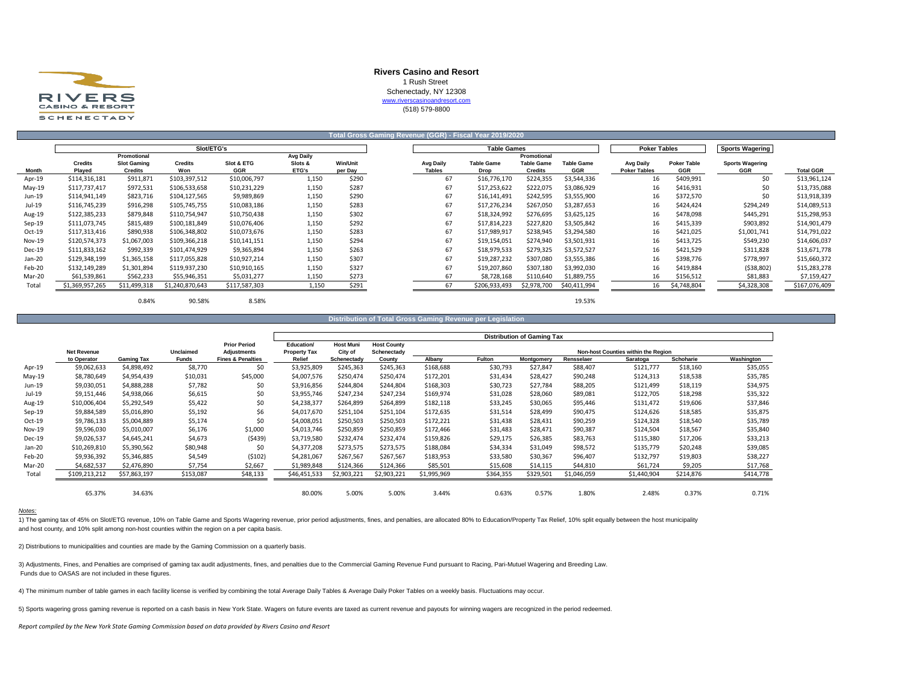

## **Rivers Casino and Resort** 1 Rush Street Schenectady, NY 12308 [w](http://www.riverscasinoandresort.com/)ww.riverscasinoandresort.com (518) 579-8800

|               |                 |                    | Slot/ETG's      |               |                  |                 |                  | <b>Table Games</b> |                   |                   | <b>Poker Tables</b> |                    | <b>Sports Wagering</b> |                  |
|---------------|-----------------|--------------------|-----------------|---------------|------------------|-----------------|------------------|--------------------|-------------------|-------------------|---------------------|--------------------|------------------------|------------------|
|               |                 | Promotional        |                 |               | <b>Avg Daily</b> |                 |                  |                    | Promotional       |                   |                     |                    |                        |                  |
|               | <b>Credits</b>  | <b>Slot Gaming</b> | <b>Credits</b>  | Slot & ETG    | Slots &          | <b>Win/Unit</b> | <b>Avg Daily</b> | <b>Table Game</b>  | <b>Table Game</b> | <b>Table Game</b> | <b>Avg Daily</b>    | <b>Poker Table</b> | <b>Sports Wagering</b> |                  |
| <b>Month</b>  | Played          | <b>Credits</b>     | Won             | GGR           | ETG's            | per Day         | <b>Tables</b>    | Drop               | <b>Credits</b>    | GGR               | <b>Poker Tables</b> | GGR                | GGR                    | <b>Total GGR</b> |
| Apr-19        | \$114,316,181   | \$911,871          | \$103,397,512   | \$10,006,797  | 1,150            | \$290           | 67               | \$16,776,170       | \$224,355         | \$3,544,336       | 16                  | \$409,991          | \$0                    | \$13,961,124     |
| $May-19$      | \$117,737,417   | \$972,531          | \$106,533,658   | \$10,231,229  | 1,150            | \$287           | 67               | \$17,253,622       | \$222,075         | \$3,086,929       | 16                  | \$416,931          | S0                     | \$13,735,088     |
| Jun-19        | \$114,941,149   | \$823,716          | \$104,127,565   | \$9,989,869   | 1,150            | \$290           | 67               | \$16,141,491       | \$242,595         | \$3,555,900       | 16                  | \$372,570          | \$0                    | \$13,918,339     |
| Jul-19        | \$116,745,239   | \$916,298          | \$105,745,755   | \$10,083,186  | 1,150            | \$283           | 67               | \$17,276,234       | \$267,050         | \$3,287,653       | 16                  | \$424,424          | \$294,249              | \$14,089,513     |
| Aug-19        | \$122,385,233   | \$879,848          | \$110,754,947   | \$10,750,438  | 1,150            | \$302           | 67               | \$18,324,992       | \$276,695         | \$3,625,125       | 16                  | \$478,098          | \$445,291              | \$15,298,953     |
| $Sep-19$      | \$111,073,745   | \$815,489          | \$100,181,849   | \$10,076,406  | 1,150            | \$292           | 67               | \$17,814,223       | \$227,820         | \$3,505,842       | 16                  | \$415,339          | \$903,892              | \$14,901,479     |
| Oct-19        | \$117,313,416   | \$890,938          | \$106,348,802   | \$10,073,676  | 1,150            | \$283           | 67               | \$17,989,917       | \$238,945         | \$3,294,580       | 16                  | \$421,025          | \$1,001,741            | \$14,791,022     |
| <b>Nov-19</b> | \$120,574,373   | \$1,067,003        | \$109,366,218   | \$10,141,151  | 1,150            | \$294           | 67               | \$19,154,051       | \$274,940         | \$3,501,931       | 16                  | \$413,725          | \$549,230              | \$14,606,037     |
| Dec-19        | \$111,833,162   | \$992,339          | \$101,474,929   | \$9,365,894   | 1,150            | \$263           | 67               | \$18,979,533       | \$279,325         | \$3,572,527       | 16                  | \$421,529          | \$311,828              | \$13,671,778     |
| Jan-20        | \$129,348,199   | \$1,365,158        | \$117,055,828   | \$10,927,214  | 1,150            | \$307           | 67               | \$19,287,232       | \$307,080         | \$3,555,386       | 16                  | \$398,776          | \$778,997              | \$15,660,372     |
| Feb-20        | \$132,149,289   | \$1,301,894        | \$119,937,230   | \$10,910,165  | 1,150            | \$327           | 67               | \$19,207,860       | \$307,180         | \$3,992,030       | 16                  | \$419,884          | (538, 802)             | \$15,283,278     |
| Mar-20        | \$61,539,861    | \$562,233          | \$55,946,351    | \$5,031,277   | 1,150            | \$273           | 67               | \$8,728,168        | \$110,640         | \$1,889,755       | 16                  | \$156,512          | \$81,883               | \$7,159,427      |
| Total         | \$1,369,957,265 | \$11,499,318       | \$1,240,870,643 | \$117,587,303 | 1,150            | \$291           | 67               | \$206,933,493      | \$2,978,700       | \$40,411,994      | 16                  | \$4,748,804        | \$4,328,308            | \$167,076,409    |

0.84% 90.58% 8.58% 19.53%

#### **Distribution of Total Gross Game**

|          |                    |                   |              |                              | <b>Distribution of Gaming Tax</b> |                  |                    |             |           |            |             |                                     |                  |            |
|----------|--------------------|-------------------|--------------|------------------------------|-----------------------------------|------------------|--------------------|-------------|-----------|------------|-------------|-------------------------------------|------------------|------------|
|          |                    |                   |              | <b>Prior Period</b>          | Education/                        | <b>Host Muni</b> | <b>Host County</b> |             |           |            |             |                                     |                  |            |
|          | <b>Net Revenue</b> |                   | Unclaimed    | <b>Adiustments</b>           | <b>Property Tax</b>               | City of          | Schenectady        |             | Fulton    |            |             | Non-host Counties within the Region |                  |            |
|          | to Operator        | <b>Gaming Tax</b> | <b>Funds</b> | <b>Fines &amp; Penalties</b> | Relief                            | Schenectady      | County             | Albany      |           | Montgomery | Rensselaer  | Saratoga                            | <b>Schoharie</b> | Washington |
| Apr-19   | \$9,062,633        | \$4,898,492       | \$8,770      | \$0                          | \$3,925,809                       | \$245,363        | \$245,363          | \$168,688   | \$30,793  | \$27,847   | \$88,407    | \$121,777                           | \$18,160         | \$35,055   |
| $May-19$ | \$8,780,649        | \$4,954,439       | \$10,031     | \$45,000                     | \$4,007,576                       | \$250,474        | \$250,474          | \$172,201   | \$31,434  | \$28,427   | \$90,248    | \$124,313                           | \$18,538         | \$35,785   |
| Jun-19   | \$9,030,051        | \$4,888,288       | \$7,782      | \$0                          | \$3,916,856                       | \$244,804        | \$244,804          | \$168,303   | \$30,723  | \$27,784   | \$88,205    | \$121,499                           | \$18,119         | \$34,975   |
| Jul-19   | \$9,151,446        | \$4,938,066       | \$6,615      | \$0                          | \$3,955,746                       | \$247,234        | \$247,234          | \$169,974   | \$31,028  | \$28,060   | \$89,081    | \$122,705                           | \$18,298         | \$35,322   |
| Aug-19   | \$10,006,404       | \$5,292,549       | \$5,422      | \$0                          | \$4,238,377                       | \$264,899        | \$264,899          | \$182,118   | \$33,245  | \$30,065   | \$95,446    | \$131,472                           | \$19,606         | \$37,846   |
| $Sep-19$ | \$9,884,589        | \$5,016,890       | \$5,192      | \$6                          | \$4,017,670                       | \$251,104        | \$251,104          | \$172,635   | \$31,514  | \$28,499   | \$90.475    | \$124,626                           | \$18,585         | \$35,875   |
| Oct-19   | \$9,786,133        | \$5,004,889       | \$5,174      | \$0                          | \$4,008,051                       | \$250,503        | \$250,503          | \$172,221   | \$31,438  | \$28,431   | \$90,259    | \$124,328                           | \$18,540         | \$35,789   |
| Nov-19   | \$9,596,030        | \$5,010,007       | \$6,176      | \$1,000                      | \$4,013,746                       | \$250,859        | \$250,859          | \$172,466   | \$31,483  | \$28.471   | \$90,387    | \$124,504                           | \$18,567         | \$35,840   |
| Dec-19   | \$9,026,537        | \$4,645,241       | \$4,673      | (5439)                       | \$3,719,580                       | \$232,474        | \$232,474          | \$159,826   | \$29,175  | \$26,385   | \$83,763    | \$115,380                           | \$17,206         | \$33,213   |
| Jan-20   | \$10,269,810       | \$5,390,562       | \$80,948     | \$0                          | \$4,377,208                       | \$273,575        | \$273,575          | \$188,084   | \$34,334  | \$31,049   | \$98,572    | \$135,779                           | \$20,248         | \$39,085   |
| Feb-20   | \$9,936,392        | \$5,346,885       | \$4,549      | (5102)                       | \$4,281,067                       | \$267,567        | \$267,567          | \$183,953   | \$33,580  | \$30,367   | \$96,407    | \$132,797                           | \$19,803         | \$38,227   |
| Mar-20   | \$4,682,537        | \$2,476,890       | \$7,754      | \$2,667                      | \$1,989,848                       | \$124,366        | \$124,366          | \$85,501    | \$15,608  | \$14,115   | \$44,810    | \$61,724                            | \$9,205          | \$17,768   |
| Total    | \$109,213,212      | \$57,863,197      | \$153,087    | \$48,133                     | \$46,451,533                      | \$2,903,221      | \$2,903,221        | \$1,995,969 | \$364,355 | \$329,501  | \$1,046,059 | \$1,440,904                         | \$214,876        | \$414,778  |
|          |                    |                   |              |                              |                                   |                  |                    |             |           |            |             |                                     |                  |            |
|          | 65.37%             | 34.63%            |              |                              | 80.00%                            | 5.00%            | 5.00%              | 3.44%       | 0.63%     | 0.57%      | 1.80%       | 2.48%                               | 0.37%            | 0.71%      |

#### *Notes:*

1) The gaming tax of 45% on Slot/ETG revenue, 10% on Table Game and Sports Wagering revenue, prior period adjustments, fines, and penalties, are allocated 80% to Education/Property Tax Relief, 10% split equally between the and host county, and 10% split among non-host counties within the region on a per capita basis.

2) Distributions to municipalities and counties are made by the Gaming Commission on a quarterly basis.

3) Adjustments, Fines, and Penalties are comprised of gaming tax audit adjustments, fines, and penalties due to the Commercial Gaming Revenue Fund pursuant to Racing, Pari-Mutuel Wagering and Breeding Law. Funds due to OASAS are not included in these figures.

4) The minimum number of table games in each facility license is verified by combining the total Average Daily Tables & Average Daily Poker Tables on a weekly basis. Fluctuations may occur.

5) Sports wagering gross gaming revenue is reported on a cash basis in New York State. Wagers on future events are taxed as current revenue and payouts for winning wagers are recognized in the period redeemed.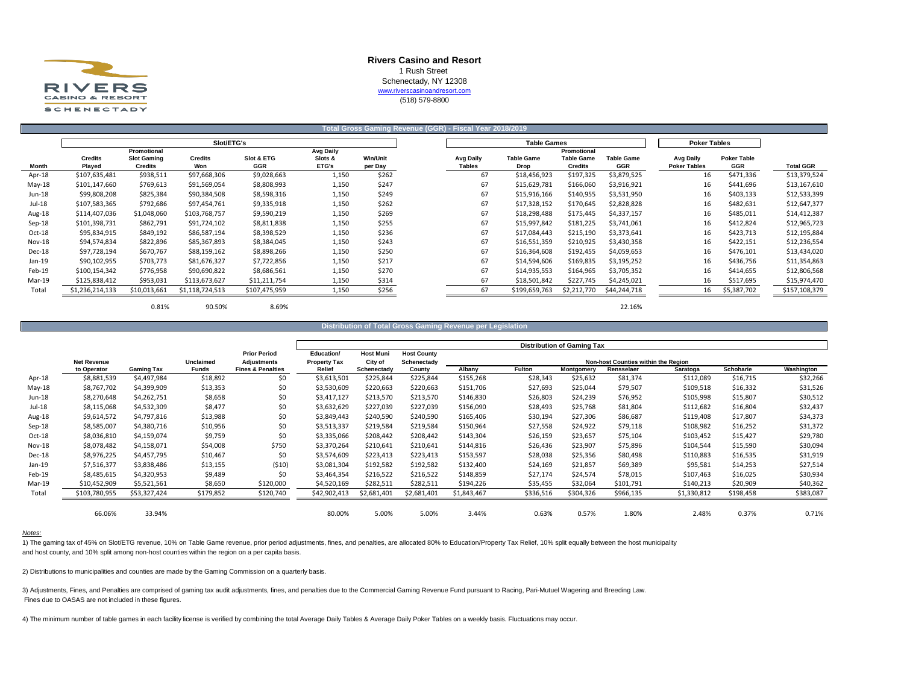

## **Rivers Casino and Resort** 1 Rush Street Schenectady, NY 12308 www.riverscasinoandresort.com

(518) 579-8800

|               |                          |                                      |                       |                          |                  |                  | Total Gross Gaming Revenue (GGR) - Fiscal Year 2018/2019 |                      |                                     |                                 |                                         |                           |                  |
|---------------|--------------------------|--------------------------------------|-----------------------|--------------------------|------------------|------------------|----------------------------------------------------------|----------------------|-------------------------------------|---------------------------------|-----------------------------------------|---------------------------|------------------|
|               |                          |                                      | Slot/ETG's            |                          |                  |                  |                                                          | <b>Table Games</b>   |                                     |                                 | <b>Poker Tables</b>                     |                           |                  |
|               |                          | Promotional                          |                       |                          | Avg Daily        |                  |                                                          |                      | Promotional                         |                                 |                                         |                           |                  |
| Month         | <b>Credits</b><br>Played | <b>Slot Gaming</b><br><b>Credits</b> | <b>Credits</b><br>Won | Slot & ETG<br><b>GGR</b> | Slots &<br>ETG's | <b>Win/Unit</b>  | Avg Daily<br><b>Tables</b>                               | <b>Table Game</b>    | <b>Table Game</b><br><b>Credits</b> | <b>Table Game</b><br><b>GGR</b> | <b>Avg Daily</b><br><b>Poker Tables</b> | <b>Poker Table</b><br>GGR | <b>Total GGR</b> |
| Apr-18        | \$107,635,481            | \$938,511                            | \$97,668,306          | \$9,028,663              | 1,150            | per Day<br>\$262 | 67                                                       | Drop<br>\$18,456,923 | \$197,325                           | \$3,879,525                     | 16                                      | \$471,336                 | \$13,379,524     |
|               |                          |                                      |                       |                          |                  |                  |                                                          |                      |                                     |                                 |                                         |                           |                  |
| $May-18$      | \$101,147,660            | \$769,613                            | \$91,569,054          | \$8,808,993              | 1,150            | \$247            | 67                                                       | \$15,629,781         | \$166,060                           | \$3,916,921                     | 16                                      | \$441,696                 | \$13,167,610     |
| Jun-18        | \$99,808,208             | \$825,384                            | \$90,384,508          | \$8,598,316              | 1,150            | \$249            | 67                                                       | \$15,916,166         | \$140,955                           | \$3,531,950                     | 16                                      | \$403,133                 | \$12,533,399     |
| Jul-18        | \$107,583,365            | \$792,686                            | \$97,454,761          | \$9,335,918              | 1,150            | \$262            | 67                                                       | \$17,328,152         | \$170,645                           | \$2,828,828                     | 16                                      | \$482,631                 | \$12,647,377     |
| Aug-18        | \$114,407,036            | \$1,048,060                          | \$103,768,757         | \$9,590,219              | 1,150            | \$269            | 67                                                       | \$18,298,488         | \$175,445                           | \$4,337,157                     | 16                                      | \$485,011                 | \$14,412,387     |
| Sep-18        | \$101,398,731            | \$862,791                            | \$91,724,102          | \$8,811,838              | 1,150            | \$255            | 67                                                       | \$15,997,842         | \$181,225                           | \$3,741,061                     | 16                                      | \$412,824                 | \$12,965,723     |
| Oct-18        | \$95,834,915             | \$849,192                            | \$86,587,194          | \$8,398,529              | 1,150            | \$236            | 67                                                       | \$17,084,443         | \$215,190                           | \$3,373,641                     | 16                                      | \$423,713                 | \$12,195,884     |
| <b>Nov-18</b> | \$94,574,834             | \$822,896                            | \$85,367,893          | \$8,384,045              | 1,150            | \$243            | 67                                                       | \$16,551,359         | \$210,925                           | \$3,430,358                     | 16                                      | \$422,151                 | \$12,236,554     |
| Dec-18        | \$97,728,194             | \$670,767                            | \$88,159,162          | \$8,898,266              | 1,150            | \$250            | 67                                                       | \$16,364,608         | \$192,455                           | \$4,059,653                     | 16                                      | \$476,101                 | \$13,434,020     |
| Jan-19        | \$90,102,955             | \$703,773                            | \$81,676,327          | \$7,722,856              | 1,150            | \$217            | 67                                                       | \$14,594,606         | \$169,835                           | \$3,195,252                     | 16                                      | \$436,756                 | \$11,354,863     |
| Feb-19        | \$100,154,342            | \$776,958                            | \$90,690,822          | \$8,686,561              | 1,150            | \$270            | 67                                                       | \$14,935,553         | \$164,965                           | \$3,705,352                     | 16                                      | \$414,655                 | \$12,806,568     |
| Mar-19        | \$125,838,412            | \$953,031                            | \$113,673,627         | \$11,211,754             | 1,150            | \$314            | 67                                                       | \$18,501,842         | \$227,745                           | \$4,245,021                     | 16                                      | \$517,695                 | \$15,974,470     |
| Total         | \$1,236,214,133          | \$10,013,661                         | \$1,118,724,513       | \$107,475,959            | 1,150            | \$256            | 67                                                       | \$199,659,763        | \$2,212,770                         | \$44,244,718                    | 16                                      | \$5,387,702               | \$157,108,379    |
|               |                          | 0.81%                                | 90.50%                | 8.69%                    |                  |                  |                                                          |                      |                                     | 22.16%                          |                                         |                           |                  |

### **Distribution of Total Gross Gaming Revenue per Legislation**

|               |                                   |              |                           |                                                    |                               |                        |                       |             |           | <b>Distribution of Gaming Tax</b> |                                                          |             |           |            |
|---------------|-----------------------------------|--------------|---------------------------|----------------------------------------------------|-------------------------------|------------------------|-----------------------|-------------|-----------|-----------------------------------|----------------------------------------------------------|-------------|-----------|------------|
|               |                                   |              |                           | <b>Prior Period</b>                                | Education/                    | <b>Host Muni</b>       | <b>Host County</b>    |             |           |                                   |                                                          |             |           |            |
|               | <b>Net Revenue</b><br>to Operator | Gaming Tax   | <b>Unclaimed</b><br>Funds | <b>Adjustments</b><br><b>Fines &amp; Penalties</b> | <b>Property Tax</b><br>Relief | City of<br>Schenectady | Schenectady<br>County | Albany      | Fulton    | Montgomery                        | <b>Non-host Counties within the Region</b><br>Rensselaer | Saratoga    | Schoharie | Washington |
| Apr-18        | \$8,881,539                       | \$4,497,984  | \$18,892                  | \$0                                                | \$3,613,501                   | \$225,844              | \$225,844             | \$155,268   | \$28,343  | \$25,632                          | \$81,374                                                 | \$112,089   | \$16,715  | \$32,266   |
| $May-18$      | \$8,767,702                       | \$4,399,909  | \$13,353                  | \$0                                                | \$3,530,609                   | \$220,663              | \$220,663             | \$151,706   | \$27,693  | \$25,044                          | \$79,507                                                 | \$109,518   | \$16,332  | \$31,526   |
| Jun-18        | \$8,270,648                       | \$4,262,751  | \$8,658                   | \$0                                                | \$3,417,127                   | \$213,570              | \$213,570             | \$146,830   | \$26,803  | \$24,239                          | \$76,952                                                 | \$105,998   | \$15,807  | \$30,512   |
| Jul-18        | \$8,115,068                       | \$4,532,309  | \$8,477                   | \$0                                                | \$3,632,629                   | \$227,039              | \$227,039             | \$156,090   | \$28,493  | \$25,768                          | \$81,804                                                 | \$112,682   | \$16,804  | \$32,437   |
| Aug-18        | \$9,614,572                       | \$4,797,816  | \$13,988                  | \$0                                                | \$3,849,443                   | \$240,590              | \$240,590             | \$165,406   | \$30,194  | \$27,306                          | \$86,687                                                 | \$119,408   | \$17,807  | \$34,373   |
| $Sep-18$      | \$8,585,007                       | \$4,380,716  | \$10,956                  | \$0                                                | \$3,513,337                   | \$219,584              | \$219,584             | \$150,964   | \$27,558  | \$24,922                          | \$79,118                                                 | \$108,982   | \$16,252  | \$31,372   |
| Oct-18        | \$8,036,810                       | \$4,159,074  | \$9,759                   | \$0                                                | \$3,335,066                   | \$208,442              | \$208,442             | \$143,304   | \$26,159  | \$23,657                          | \$75,104                                                 | \$103,452   | \$15,427  | \$29,780   |
| <b>Nov-18</b> | \$8,078,482                       | \$4,158,071  | \$54,008                  | \$750                                              | \$3,370,264                   | \$210,641              | \$210,641             | \$144,816   | \$26,436  | \$23,907                          | \$75,896                                                 | \$104,544   | \$15,590  | \$30,094   |
| Dec-18        | \$8,976,225                       | \$4,457,795  | \$10,467                  | \$0                                                | \$3,574,609                   | \$223,413              | \$223,413             | \$153,597   | \$28,038  | \$25,356                          | \$80,498                                                 | \$110,883   | \$16,535  | \$31,919   |
| $Jan-19$      | \$7,516,377                       | \$3,838,486  | \$13,155                  | (510)                                              | \$3,081,304                   | \$192,582              | \$192,582             | \$132,400   | \$24,169  | \$21,857                          | \$69,389                                                 | \$95,581    | \$14,253  | \$27,514   |
| Feb-19        | \$8,485,615                       | \$4,320,953  | \$9,489                   | \$0                                                | \$3,464,354                   | \$216,522              | \$216,522             | \$148,859   | \$27,174  | \$24,574                          | \$78,015                                                 | \$107,463   | \$16,025  | \$30,934   |
| Mar-19        | \$10,452,909                      | \$5,521,561  | \$8,650                   | \$120,000                                          | \$4,520,169                   | \$282,511              | \$282,511             | \$194,226   | \$35,455  | \$32,064                          | \$101,791                                                | \$140,213   | \$20,909  | \$40,362   |
| Total         | \$103,780,955                     | \$53,327,424 | \$179,852                 | \$120,740                                          | \$42,902,413                  | \$2,681,401            | \$2,681,401           | \$1,843,467 | \$336,516 | \$304,326                         | \$966,135                                                | \$1,330,812 | \$198,458 | \$383,087  |
|               |                                   |              |                           |                                                    |                               |                        |                       |             |           |                                   |                                                          |             |           |            |
|               | 66.06%                            | 33.94%       |                           |                                                    | 80.00%                        | 5.00%                  | 5.00%                 | 3.44%       | 0.63%     | 0.57%                             | 1.80%                                                    | 2.48%       | 0.37%     | 0.71%      |

### *Notes:*

1) The gaming tax of 45% on Slot/ETG revenue, 10% on Table Game revenue, prior period adjustments, fines, and penalties, are allocated 80% to Education/Property Tax Relief, 10% split equally between the host municipality and host county, and 10% split among non-host counties within the region on a per capita basis.

2) Distributions to municipalities and counties are made by the Gaming Commission on a quarterly basis.

3) Adjustments, Fines, and Penalties are comprised of gaming tax audit adjustments, fines, and penalties due to the Commercial Gaming Revenue Fund pursuant to Racing, Pari-Mutuel Wagering and Breeding Law. Fines due to OASAS are not included in these figures.

4) The minimum number of table games in each facility license is verified by combining the total Average Daily Tables & Average Daily Poker Tables on a weekly basis. Fluctuations may occur.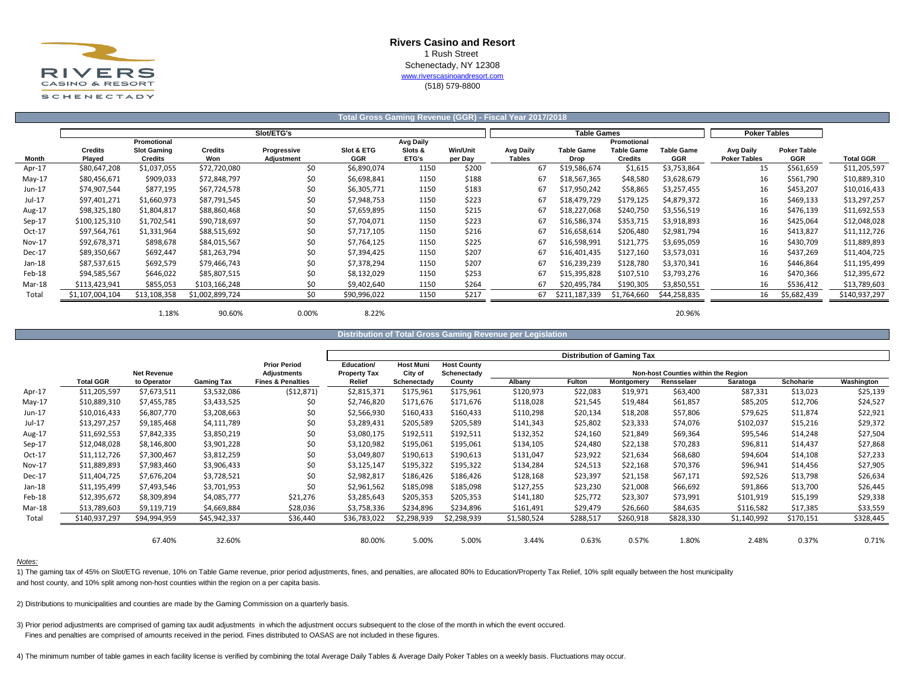

# **Rivers Casino and Resort** 1 Rush Street Schenectady, NY 12308 [w](http://www.riverscasinoandresort.com/)ww.riverscasinoandresort.com

(518) 579-8800

|               |                          |                                      |                       |                                  |                          |                  |                            | Total Gross Gaming Revenue (GGR) - Fiscal Year 2017/2018 |                           |                                     |                                 |                                  |                                  |                  |
|---------------|--------------------------|--------------------------------------|-----------------------|----------------------------------|--------------------------|------------------|----------------------------|----------------------------------------------------------|---------------------------|-------------------------------------|---------------------------------|----------------------------------|----------------------------------|------------------|
|               |                          |                                      |                       | Slot/ETG's                       |                          |                  |                            |                                                          | <b>Table Games</b>        |                                     |                                 | <b>Poker Tables</b>              |                                  |                  |
|               |                          | Promotional                          |                       |                                  |                          | <b>Avg Daily</b> |                            |                                                          |                           | Promotional                         |                                 |                                  |                                  |                  |
| Month         | <b>Credits</b><br>Played | <b>Slot Gaming</b><br><b>Credits</b> | <b>Credits</b><br>Won | Progressive<br><b>Adjustment</b> | Slot & ETG<br><b>GGR</b> | Slots &<br>ETG's | <b>Win/Unit</b><br>per Day | Avg Daily<br><b>Tables</b>                               | <b>Table Game</b><br>Drop | <b>Table Game</b><br><b>Credits</b> | <b>Table Game</b><br><b>GGR</b> | Avg Daily<br><b>Poker Tables</b> | <b>Poker Table</b><br><b>GGR</b> | <b>Total GGR</b> |
| Apr-17        | \$80,647,208             | \$1,037,055                          | \$72,720,080          | \$0                              | \$6,890,074              | 1150             | \$200                      | 67                                                       | \$19,586,674              | \$1,615                             | \$3,753,864                     | 15                               | \$561,659                        | \$11,205,597     |
| $May-17$      | \$80,456,671             | \$909,033                            | \$72,848,797          | \$0                              | \$6,698,841              | 1150             | \$188                      | 67                                                       | \$18,567,365              | \$48,580                            | \$3,628,679                     | 16                               | \$561,790                        | \$10,889,310     |
| Jun-17        | \$74,907,544             | \$877,195                            | \$67,724,578          | \$0                              | \$6,305,771              | 1150             | \$183                      | 67                                                       | \$17,950,242              | \$58,865                            | \$3,257,455                     | 16                               | \$453,207                        | \$10,016,433     |
| Jul-17        | \$97,401,271             | \$1,660,973                          | \$87,791,545          | \$0                              | \$7,948,753              | 1150             | \$223                      | 67                                                       | \$18,479,729              | \$179,125                           | \$4,879,372                     | 16                               | \$469,133                        | \$13,297,257     |
| Aug-17        | \$98,325,180             | \$1,804,817                          | \$88,860,468          | \$0                              | \$7,659,895              | 1150             | \$215                      | 67                                                       | \$18,227,068              | \$240,750                           | \$3,556,519                     | 16                               | \$476,139                        | \$11,692,553     |
| $Sep-17$      | \$100,125,310            | \$1,702,541                          | \$90,718,697          | \$0                              | \$7,704,071              | 1150             | \$223                      | 67                                                       | \$16,586,374              | \$353,715                           | \$3,918,893                     | 16                               | \$425,064                        | \$12,048,028     |
| Oct-17        | \$97,564,761             | \$1,331,964                          | \$88,515,692          | \$0                              | \$7,717,105              | 1150             | \$216                      | 67                                                       | \$16,658,614              | \$206,480                           | \$2,981,794                     | 16                               | \$413,827                        | \$11,112,726     |
| <b>Nov-17</b> | \$92,678,371             | \$898,678                            | \$84,015,567          | \$0                              | \$7,764,125              | 1150             | \$225                      | 67                                                       | \$16,598,991              | \$121,775                           | \$3,695,059                     | 16                               | \$430,709                        | \$11,889,893     |
| Dec-17        | \$89,350,667             | \$692,447                            | \$81,263,794          | \$0                              | \$7,394,425              | 1150             | \$207                      | 67                                                       | \$16,401,435              | \$127,160                           | \$3,573,031                     | 16                               | \$437,269                        | \$11,404,725     |
| Jan-18        | \$87,537,615             | \$692,579                            | \$79,466,743          | \$0                              | \$7,378,294              | 1150             | \$207                      | 67                                                       | \$16,239,239              | \$128,780                           | \$3,370,341                     | 16                               | \$446,864                        | \$11,195,499     |
| Feb-18        | \$94,585,567             | \$646,022                            | \$85,807,515          | \$0                              | \$8,132,029              | 1150             | \$253                      | 67                                                       | \$15,395,828              | \$107,510                           | \$3,793,276                     | 16                               | \$470,366                        | \$12,395,672     |
| Mar-18        | \$113,423,941            | \$855,053                            | \$103,166,248         | \$0                              | \$9,402,640              | 1150             | \$264                      | 67                                                       | \$20,495,784              | \$190,305                           | \$3,850,551                     | 16                               | \$536,412                        | \$13,789,603     |
| Total         | \$1,107,004,104          | \$13,108,358                         | \$1,002,899,724       | \$0                              | \$90,996,022             | 1150             | \$217                      | 67                                                       | \$211,187,339             | \$1,764,660                         | \$44,258,835                    | 16                               | \$5,682,439                      | \$140,937,297    |
|               |                          | 1.18%                                | 90.60%                | 0.00%                            | 8.22%                    |                  |                            |                                                          |                           |                                     | 20.96%                          |                                  |                                  |                  |

**Distribution of Total Gross Gaming Revenue per Legislation**

|          |                  |                    |              |                                           |                                   |                             |                                   |             |               | <b>Distribution of Gaming Tax</b> |                                     |             |           |            |
|----------|------------------|--------------------|--------------|-------------------------------------------|-----------------------------------|-----------------------------|-----------------------------------|-------------|---------------|-----------------------------------|-------------------------------------|-------------|-----------|------------|
|          |                  | <b>Net Revenue</b> |              | <b>Prior Period</b><br><b>Adjustments</b> | Education/<br><b>Property Tax</b> | <b>Host Muni</b><br>City of | <b>Host County</b><br>Schenectady |             |               |                                   | Non-host Counties within the Region |             |           |            |
|          | <b>Total GGR</b> | to Operator        | Gaming Tax   | <b>Fines &amp; Penalties</b>              | Relief                            | Schenectady                 | County                            | Albany      | <b>Fulton</b> | Montgomery                        | Rensselaer                          | Saratoga    | Schoharie | Washington |
| Apr-17   | \$11,205,597     | \$7,673,511        | \$3,532,086  | (512, 871)                                | \$2,815,371                       | \$175,961                   | \$175,961                         | \$120,973   | \$22,083      | \$19,971                          | \$63,400                            | \$87,331    | \$13,023  | \$25,139   |
| May-17   | \$10,889,310     | \$7,455,785        | \$3,433,525  | \$0                                       | \$2,746,820                       | \$171,676                   | \$171,676                         | \$118,028   | \$21,545      | \$19,484                          | \$61,857                            | \$85,205    | \$12,706  | \$24,527   |
| Jun-17   | \$10,016,433     | \$6,807,770        | \$3,208,663  | \$0                                       | \$2,566,930                       | \$160,433                   | \$160,433                         | \$110,298   | \$20,134      | \$18,208                          | \$57,806                            | \$79,625    | \$11,874  | \$22,921   |
| Jul-17   | \$13,297,257     | \$9,185,468        | \$4,111,789  | \$0                                       | \$3,289,431                       | \$205,589                   | \$205,589                         | \$141,343   | \$25,802      | \$23,333                          | \$74,076                            | \$102,037   | \$15,216  | \$29,372   |
| Aug-17   | \$11,692,553     | \$7,842,335        | \$3,850,219  | \$0                                       | \$3,080,175                       | \$192,511                   | \$192,511                         | \$132,352   | \$24,160      | \$21,849                          | \$69,364                            | \$95,546    | \$14,248  | \$27,504   |
| $Sep-17$ | \$12,048,028     | \$8,146,800        | \$3,901,228  | \$0                                       | \$3,120,982                       | \$195,061                   | \$195,061                         | \$134,105   | \$24,480      | \$22,138                          | \$70,283                            | \$96,811    | \$14,437  | \$27,868   |
| Oct-17   | \$11,112,726     | \$7,300,467        | \$3,812,259  | \$0                                       | \$3,049,807                       | \$190,613                   | \$190,613                         | \$131,047   | \$23,922      | \$21,634                          | \$68,680                            | \$94,604    | \$14,108  | \$27,233   |
| Nov-17   | \$11,889,893     | \$7,983,460        | \$3,906,433  | \$0                                       | \$3,125,147                       | \$195,322                   | \$195,322                         | \$134,284   | \$24,513      | \$22,168                          | \$70,376                            | \$96,941    | \$14,456  | \$27,905   |
| Dec-17   | \$11,404,725     | \$7,676,204        | \$3,728,521  | \$0                                       | \$2,982,817                       | \$186,426                   | \$186,426                         | \$128,168   | \$23,397      | \$21,158                          | \$67,171                            | \$92,526    | \$13,798  | \$26,634   |
| Jan-18   | \$11,195,499     | \$7,493,546        | \$3,701,953  | \$0                                       | \$2,961,562                       | \$185,098                   | \$185,098                         | \$127,255   | \$23,230      | \$21,008                          | \$66,692                            | \$91,866    | \$13,700  | \$26,445   |
| Feb-18   | \$12,395,672     | \$8,309,894        | \$4,085,777  | \$21,276                                  | \$3,285,643                       | \$205,353                   | \$205,353                         | \$141,180   | \$25,772      | \$23,307                          | \$73,991                            | \$101,919   | \$15,199  | \$29,338   |
| Mar-18   | \$13,789,603     | \$9,119,719        | \$4,669,884  | \$28,036                                  | \$3,758,336                       | \$234,896                   | \$234,896                         | \$161,491   | \$29,479      | \$26,660                          | \$84,635                            | \$116,582   | \$17,385  | \$33,559   |
| Total    | \$140,937,297    | \$94,994,959       | \$45,942,337 | \$36,440                                  | \$36,783,022                      | \$2,298,939                 | \$2,298,939                       | \$1,580,524 | \$288,517     | \$260,918                         | \$828,330                           | \$1,140,992 | \$170,151 | \$328,445  |
|          |                  | 67.40%             | 32.60%       |                                           | 80.00%                            | 5.00%                       | 5.00%                             | 3.44%       | 0.63%         | 0.57%                             | 1.80%                               | 2.48%       | 0.37%     | 0.71%      |

### *Notes:*

1) The gaming tax of 45% on Slot/ETG revenue, 10% on Table Game revenue, prior period adjustments, fines, and penalties, are allocated 80% to Education/Property Tax Relief, 10% split equally between the host municipality and host county, and 10% split among non-host counties within the region on a per capita basis.

2) Distributions to municipalities and counties are made by the Gaming Commission on a quarterly basis.

3) Prior period adjustments are comprised of gaming tax audit adjustments in which the adjustment occurs subsequent to the close of the month in which the event occured. Fines and penalties are comprised of amounts received in the period. Fines distributed to OASAS are not included in these figures.

4) The minimum number of table games in each facility license is verified by combining the total Average Daily Tables & Average Daily Poker Tables on a weekly basis. Fluctuations may occur.